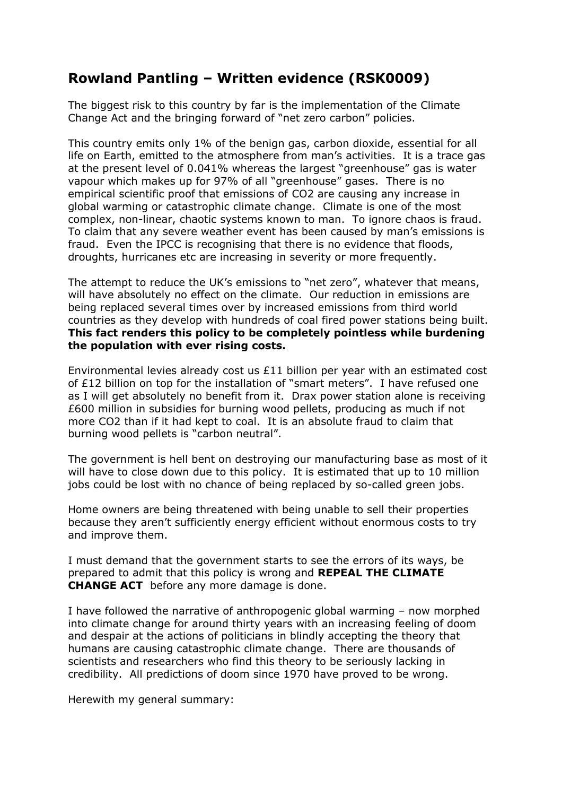## **Rowland Pantling – Written evidence (RSK0009)**

The biggest risk to this country by far is the implementation of the Climate Change Act and the bringing forward of "net zero carbon" policies.

This country emits only 1% of the benign gas, carbon dioxide, essential for all life on Earth, emitted to the atmosphere from man's activities. It is a trace gas at the present level of 0.041% whereas the largest "greenhouse" gas is water vapour which makes up for 97% of all "greenhouse" gases. There is no empirical scientific proof that emissions of CO2 are causing any increase in global warming or catastrophic climate change. Climate is one of the most complex, non-linear, chaotic systems known to man. To ignore chaos is fraud. To claim that any severe weather event has been caused by man's emissions is fraud. Even the IPCC is recognising that there is no evidence that floods, droughts, hurricanes etc are increasing in severity or more frequently.

The attempt to reduce the UK's emissions to "net zero", whatever that means, will have absolutely no effect on the climate. Our reduction in emissions are being replaced several times over by increased emissions from third world countries as they develop with hundreds of coal fired power stations being built. **This fact renders this policy to be completely pointless while burdening the population with ever rising costs.**

Environmental levies already cost us £11 billion per year with an estimated cost of £12 billion on top for the installation of "smart meters". I have refused one as I will get absolutely no benefit from it. Drax power station alone is receiving £600 million in subsidies for burning wood pellets, producing as much if not more CO2 than if it had kept to coal. It is an absolute fraud to claim that burning wood pellets is "carbon neutral".

The government is hell bent on destroying our manufacturing base as most of it will have to close down due to this policy. It is estimated that up to 10 million jobs could be lost with no chance of being replaced by so-called green jobs.

Home owners are being threatened with being unable to sell their properties because they aren't sufficiently energy efficient without enormous costs to try and improve them.

I must demand that the government starts to see the errors of its ways, be prepared to admit that this policy is wrong and **REPEAL THE CLIMATE CHANGE ACT** before any more damage is done.

I have followed the narrative of anthropogenic global warming – now morphed into climate change for around thirty years with an increasing feeling of doom and despair at the actions of politicians in blindly accepting the theory that humans are causing catastrophic climate change. There are thousands of scientists and researchers who find this theory to be seriously lacking in credibility. All predictions of doom since 1970 have proved to be wrong.

Herewith my general summary: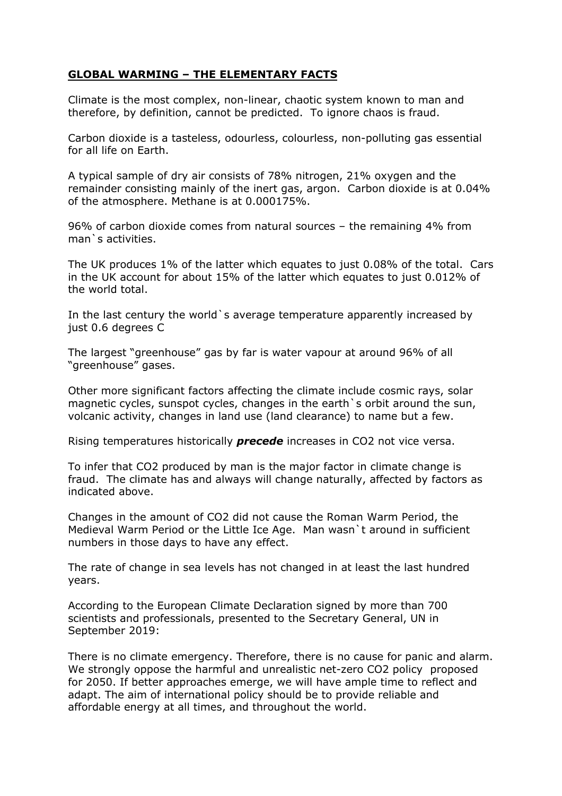## **GLOBAL WARMING – THE ELEMENTARY FACTS**

Climate is the most complex, non-linear, chaotic system known to man and therefore, by definition, cannot be predicted. To ignore chaos is fraud.

Carbon dioxide is a tasteless, odourless, colourless, non-polluting gas essential for all life on Earth.

A typical sample of dry air consists of 78% nitrogen, 21% oxygen and the remainder consisting mainly of the inert gas, argon. Carbon dioxide is at 0.04% of the atmosphere. Methane is at 0.000175%.

96% of carbon dioxide comes from natural sources – the remaining 4% from man`s activities.

The UK produces 1% of the latter which equates to just 0.08% of the total. Cars in the UK account for about 15% of the latter which equates to just 0.012% of the world total.

In the last century the world `s average temperature apparently increased by just 0.6 degrees C

The largest "greenhouse" gas by far is water vapour at around 96% of all "greenhouse" gases.

Other more significant factors affecting the climate include cosmic rays, solar magnetic cycles, sunspot cycles, changes in the earth`s orbit around the sun, volcanic activity, changes in land use (land clearance) to name but a few.

Rising temperatures historically *precede* increases in CO2 not vice versa.

To infer that CO2 produced by man is the major factor in climate change is fraud. The climate has and always will change naturally, affected by factors as indicated above.

Changes in the amount of CO2 did not cause the Roman Warm Period, the Medieval Warm Period or the Little Ice Age. Man wasn`t around in sufficient numbers in those days to have any effect.

The rate of change in sea levels has not changed in at least the last hundred years.

According to the European Climate Declaration signed by more than 700 scientists and professionals, presented to the Secretary General, UN in September 2019:

There is no climate emergency. Therefore, there is no cause for panic and alarm. We strongly oppose the harmful and unrealistic net-zero CO2 policy proposed for 2050. If better approaches emerge, we will have ample time to reflect and adapt. The aim of international policy should be to provide reliable and affordable energy at all times, and throughout the world.